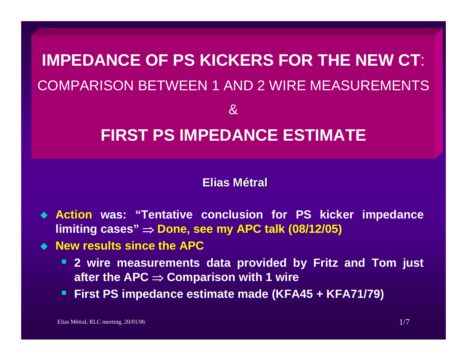# **IMPEDANCE OF PS KICKERS FOR THE NEW CT**: COMPARISON BETWEEN 1 AND 2 WIRE MEASUREMENTS $\mathcal{X}$ **FIRST PS IMPEDANCE ESTIMATE**

#### **Elias Métral**

- **Action was: "Tentative conclusion for PS kicker impedance limiting cases"** <sup>⇒</sup> **Done, see my APC talk (08/12/05)**
- **New results since the APC**
	- **2 wire measurements data provided by Fritz and Tom just after the APC** ⇒ **Comparison with 1 wire**
	- **First PS impedance estimate made (KFA45 + KFA71/79)**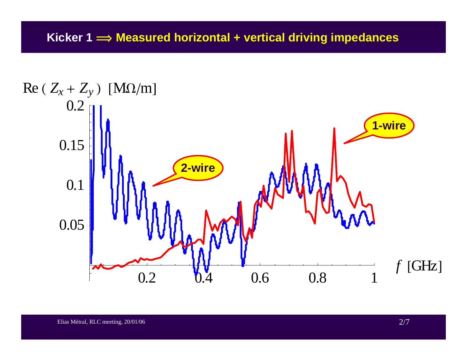#### **Kicker 1 î Measured horizontal + vertical driving impedances**

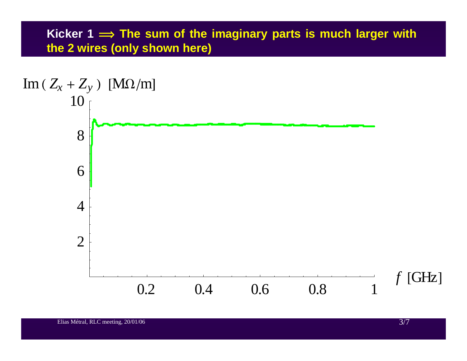## **Kicker 1 î The sum of the imaginary parts is much larger with the 2 wires (only shown here)**

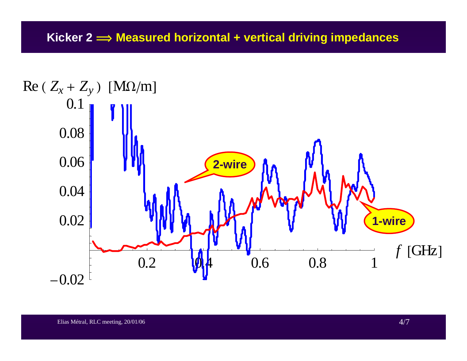#### **Kicker 2 î Measured horizontal + vertical driving impedances**

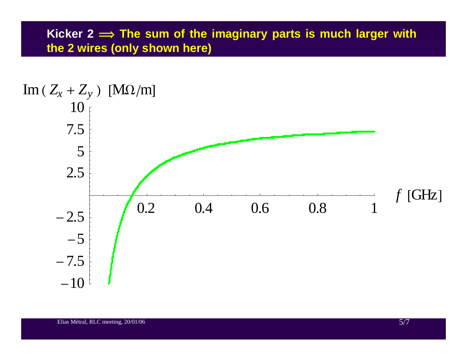## **Kicker 2 î The sum of the imaginary parts is much larger with the 2 wires (only shown here)**

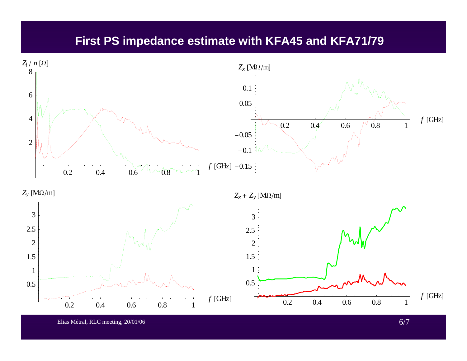### **First PS impedance estimate with KFA45 and KFA71/79**



Elias Métral, RLC meeting, 20/01/06 6/7